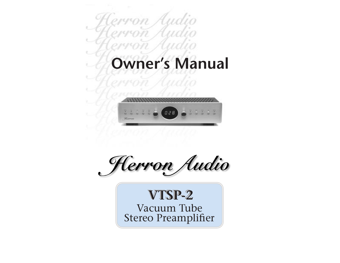



Herron Audio

Vacuum Tube Vacuum Tube Stereo Preamplifier Stereo Preamplifier**VTSP-2 VTSP-2**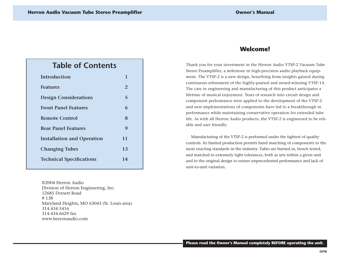# **Table of Contents**

| Introduction                      | 1  |
|-----------------------------------|----|
| <b>Features</b>                   | 2  |
| <b>Design Considerations</b>      | 5  |
| <b>Front Panel Features</b>       | 6  |
| Remote Control                    | 8  |
| <b>Rear Panel Features</b>        | 9  |
| <b>Installation and Operation</b> | 11 |
| <b>Changing Tubes</b>             | 13 |
| <b>Technical Specifications</b>   | 14 |
|                                   |    |

©2004 Herron AudioDivision of Herron Engineering, Inc. 12685 Dorsett Road# 138Maryland Heights, MO 63043 (St. Louis area) 314.434.5416314.434.6629 faxwww.herronaudio.com

## **Welcome! Welcome!**

Thank you for your investment in the Herron Audio VTSP-2 Vacuum Tube Stereo Preamplifier, a milestone in high-precision audio playback equipment. The VTSP-2 is a new design, benefiting from insights gained during continuous refinement of the highly-praised and award-winning VTSP-1A. The care in engineering and manufacturing of this product anticipates a lifetime of musical enjoyment. Years of research into circuit design and component performance were applied to the development of the VTSP-2 and new implementations of components have led to a breakthrough in performance while maintaining conservative operation for extended tube life. As with all Herron Audio products, the VTSP-2 is engineered to be reliable and user friendly.

Manufacturing of the VTSP-2 is performed under the tightest of quality controls. Its limited production permits hand matching of components to the most exacting standards in the industry. Tubes are burned in, bench tested, and matched to extremely tight tolerances, both as sets within a given unit and to the original design to ensure unprecedented performance and lack of unit-to-unit variation.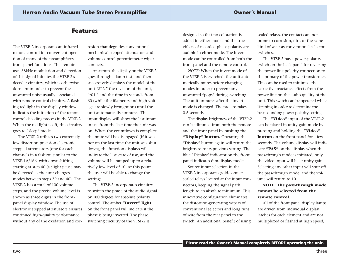## **Features Features**

The VTSP-2 incorporates an infrared remote control for convenient operation of many of the preamplifier's front-panel functions. This remote uses 38kHz modulation and detectionof this signal initiates the VTSP-2's decoder circuitry, which is otherwise dormant in order to prevent the unwanted noise usually associated with remote control circuitry. A flashing red light in the display window indicates the initiation of the remotecontrol decoding process in the VTSP-2. When the red light is off, this circuitry goes to "sleep" mode.

The VTSP-2 utilizes two extremely low distortion precision electronic stepped attenuators (one for each channel) in a fashion similar to the VTSP-1A/166, with downshifting starting at step 40 (a slight pause may be detected as the unit changes modes between steps 39 and 40). The VTSP-2 has a total of 100 volume steps, and the precise volume level is shown as three digits in the frontpanel display window. The use of electronic stepped attenuators ensures continued high-quality performance without any of the oxidation and corrosion that degrades conventional mechanical stepped attenuators and volume control potentiometer wiper contacts.

At startup, the display on the VTSP-2 goes through a lamp test, and then successively displays the model of the unit "SP2," the revision of the unit, "r01," and the time in seconds from 60 (while the filaments and high voltage are slowly brought on) until the unit automatically unmutes. The input display will show the last input in use from the last time the unit wason. When the countdown is complete the mute will be disengaged (if it was not on the last time the unit was shutdown), the function displays will indicate the last state of use, and the volume will be ramped up to a relatively low level of 10. At this point the user will be able to change the settings.

The VTSP-2 incorporates circuitry to switch the phase of the audio signal by 180 degrees for absolute polarity control. The amber **"Invert" light** on the front panel will indicate if the phase is being inverted. The phase switching circuitry of the VTSP-2 is

designed so that no coloration is added in either mode and the trueeffects of recorded phase polarity are audible in either mode. The invertmode can be controlled from both thefront panel and the remote control.

*NOTE:* When the invert mode ofthe VTSP-2 is switched, the unit automatically mutes before changing modes in order to prevent any unwanted "pops" during switching. The unit unmutes after the invert mode is changed. The process takes 0.5 seconds.

The display brightness of the VTSP-2 can be dimmed from both the remote and the front panel by pushing the **"Display" button.** Operating the "Display" button again will return the brightness to its previous setting. The blue "Display" indicator on the front panel indicates dim-display mode.

Source input selection in the VTSP-2 incorporates gold-contact sealed relays located at the input connectors, keeping the signal path length to an absolute minimum. This innovative configuration eliminates the distortion-generating wipers of conventional selectors and long runs of wire from the rear panel to the switch. An additional benefit of using

sealed relays, the contacts are not prone to corrosion, dirt, or the same kind of wear as conventional selectorswitches.

The VTSP-2 has a power-polarity switch on the back panel for reversing the power line polarity connection to the primary of the power transformer. This can be used to minimize thecapacitive reactance effects from the power line on the audio quality of the unit. This switch can be operated while listening in order to determine the best-sounding power polarity setting.

The **"Video"** input of the VTSP-2 can be placed in unity-gain mode by pressing and holding the **"Video" button** on the front panel for a few seconds. The volume display will indicate **"PAS"** on the display when the pass-through mode is initiated; only the video input will be at unity gain. Selecting any other input will shut off the pass-through mode, and the volume will return to 10.

#### **NOTE: The pass-through mode cannot be selected from theremote control.**

All of the front panel display lamps are driven from individual display latches for each element and are notmultiplexed or flashed at high speed,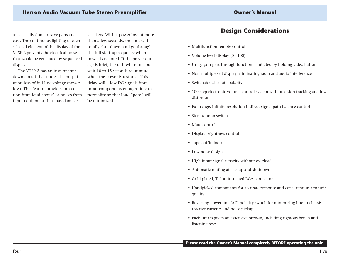### **Herron Audio Vacuum Tube Stereo Preamplifier Owner's Manual**

as is usually done to save parts and cost. The continuous lighting of each selected element of the display of the VTSP-2 prevents the electrical noise that would be generated by sequenced displays.

The VTSP-2 has an instant shutdown circuit that mutes the output upon loss of full line voltage (power loss). This feature provides protection from loud "pops" or noises from input equipment that may damage

speakers. With a power loss of more than a few seconds, the unit will totally shut down, and go through the full start-up sequence when power is restored. If the power outage is brief, the unit will mute and wait 10 to 15 seconds to unmutewhen the power is restored. This delay will allow DC signals from input components enough time to normalize so that loud "pops" will be minimized.

## **Design Considerations Design Considerations**

- Multifunction remote control
- Volume level display (0 100)
- Unity gain pass-through function—initiated by holding video button
- Non-multiplexed display, eliminating radio and audio interference
- Switchable absolute polarity
- 100-step electronic volume control system with precision tracking and low distortion
- Full-range, infinite-resolution indirect signal path balance control
- Stereo/mono switch
- Mute control
- Display brightness control
- Tape out/in loop
- Low noise design
- High input-signal capacity without overload
- Automatic muting at startup and shutdown
- Gold plated, Teflon-insulated RCA connectors
- Handpicked components for accurate response and consistent unit-to-unit quality
- Reversing power line (AC) polarity switch for minimizing line-to-chassis reactive currents and noise pickup
- Each unit is given an extensive burn-in, including rigorous bench and listening tests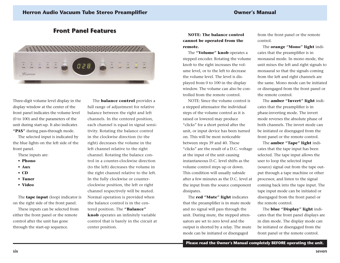## **Front Panel Features Front Panel Features**



Three-digit volume level display in the display window at the center of the front panel indicates the volume level (0 to 100) and the parameters of the unit during start-up. It also indicates **"PAS"** during pass-through mode.

The selected input is indicated by the blue lights on the left side of the front panel.

These inputs are:

- **• Phono**
- **• Aux**
- **• CD**
- **• Tuner**
- **• Video**

The **tape input** (loop) indicator is on the right side of the front panel.

These inputs can be selected from either the front panel or the remote control after the unit has gone through the start-up sequence.

The **balance control** provides a full range of adjustment for relative balance between the right and left channels. In the centered position, each channel is equal in signal sensitivity. Rotating the balance control in the clockwise direction (to the right) decreases the volume in the left channel relative to the right channel. Rotating the balance control in a counter-clockwise direction(to the left) decreases the volume in the right channel relative to the left. In the fully clockwise or counterclockwise position, the left or right channel respectively will be muted. Normal operation is provided when the balance control is in the centered position. The **"Balance" knob** operates an infinitely variable control that is barely in the circuit at center position.

**NOTE: The balance controlcannot be operated from the remote.**

The **"Volume" knob** operates a stepped encoder. Rotating the volume knob to the right increases the volume level, or to the left to decrease the volume level. The level is displayed from 0 to 100 in the display window. The volume can also be controlled from the remote control.

NOTE: Since the volume control isa stepped attenuator the individual steps of the volume control as it is raised or lowered may produce "clicks" for a short period after the unit, or input device has been turned on. This will be most noticeablebetween steps 39 and 40. These "clicks" are the result of a D.C. voltage at the input of the unit causing instantaneous D.C. level shifts as thevolume control steps up or down. This condition will usually subside after a few minutes as the D.C. level at the input from the source component dissipates.

The **red "Mute" light** indicates that the preamplifier is in mute mode and no signal will pass through the unit. During mute, the stepped attenuators are set to zero level and the output is shorted by a relay. The mute mode can be initiated or disengaged

from the front panel or the remote control.

The **orange "Mono" light** indicates that the preamplifier is in monaural mode. In mono mode, the unit mixes the left and right signals to monaural so that the signals coming from the left and right channels are the same. Mono mode can be initiatedor disengaged from the front panel or the remote control.

The **amber "Invert" light** indicates that the preamplifier is in phase-inverting mode. The invert mode reverses the absolute phase of both channels. The invert mode canbe initiated or disengaged from the front panel or the remote control.

The **amber "Tape" light** indicates that the tape input has been selected. The tape input allows the user to loop the selected input (source) signal out from the tape output through a tape machine or other processor, and listen to the signal coming back into the tape input. The tape input mode can be initiated or disengaged from the front panel or the remote control.

The **blue "Display" light** indicates that the front panel displays are in dim mode. The display mode can be initiated or disengaged from the front panel or the remote control.

**Please read the Owner's Manual completely BEFORE operating the unit.**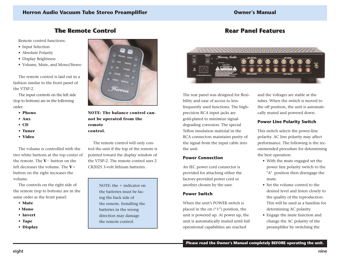## **The Remote Control The remote Control**

Remote control functions:

- Input Selection
- Absolute Polarity
- Display Brightness
- Volume, Mute, and Mono/Stereo

The remote control is laid out in afashion similar to the front panel of the VTSP-2.

The input controls on the left side (top to bottom) are in the following order:

- **• Phono**
- **• Aux**
- **• CD**
- **• Tuner**
- **• Video**

The volume is controlled with thetwo white buttons at the top center of the remote. The **V**- button on the left decreases the volume. The **V**button on the right increases the volume.

The controls on the right side of the remote (top to bottom) are in the same order as the front panel:

- **• Mute**
- **Mono**
- **• Invert**
- **• Tape**
- **• Display**



**NOTE: The balance control cannot be operated from the remote control.**

The remote control will only control the unit if the top of the remote is pointed toward the display window of the VTSP-2. The remote control uses 2CR2025 3-volt lithium batteries.

> NOTE: the + indicator on the batteries must be facing the back side of the remote. Installing the batteries in the wrong direction may damage the remote control.

## **Rear Panel Features Rear Panel Features**



The rear panel was designed for flexibility and ease of access to lessfrequently used functions. The highprecision RCA input jacks are gold-plated to minimize signaldegrading corrosion. The special Teflon insulation material in the RCA connectors maintains purity of the signal from the input cable into the unit.

#### **Power Connection**

An IEC power cord connector is provided for attaching either the factory-provided power cord or another chosen by the user.

#### **Power Switch**

When the unit's POWER switch isplaced in the on ("1") position, the unit is powered up. At power up, the unit is automatically muted until full operational capabilities are reached

and the voltages are stable at the tubes. When the switch is moved tothe off position, the unit is automatically muted and powered down.

#### **Power Line Polarity Switch**

This switch selects the power-line polarity. AC line polarity may affect performance. The following is the recommended procedure for determining the best operation:

- With the mute engaged set the power line polarity switch to the "A" position then disengage the mute.
- Set the volume control to thedesired level and listen closely to the quality of the reproduction. This will be used as a baseline fordetermining AC polarity.
- Engage the mute function and change the AC polarity of the preamplifier by switching the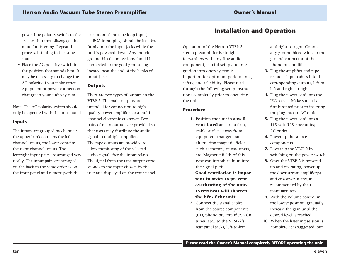power line polarity switch to the "B" position then disengage the mute for listening. Repeat the process, listening to the same source.

• Place the AC polarity switch in the position that sounds best. It may be necessary to change the AC polarity if you make other equipment or power connection changes in your audio system.

Note: The AC polarity switch should only be operated with the unit muted.

#### **Inputs**

The inputs are grouped by channel: the upper bank contains the leftchannel inputs, the lower contains the right-channel inputs. The left/right input pairs are arranged vertically. The input pairs are arranged on the back in the same order as onthe front panel and remote (with the

exception of the tape loop input).

RCA input plugs should be inserted firmly into the input jacks while the unit is powered down. Any individual ground-bleed connections should be connected to the gold ground lug located near the end of the banks ofinput jacks.

#### **Outputs**

There are two types of outputs in the VTSP-2. The main outputs are intended for connection to highquality power amplifiers or a multichannel electronic crossover. Twopairs of main outputs are provided so that users may distribute the audio signal to multiple amplifiers. The tape outputs are provided to allow monitoring of the selected audio signal after the input relays. The signal from the tape output corresponds to the input chosen by the user and displayed on the front panel.

## **Installation and Operation Installation and Operation**

Operation of the Herron VTSP-2 stereo preamplifier is straightforward. As with any fine audio component, careful setup and integration into one's system is important for optimum performance, safety, and reliability. Please read through the following setup instructions completely prior to operating the unit.

#### **Procedure**

**1.** Position the unit in a **wellventilated** area on a firm, stable surface, away from equipment that generates alternating magnetic fields such as motors, transformers, etc. Magnetic fields of this type can introduce hum into the signal path.

**Good ventilation is important in order to prevent overheating of the unit. Excess heat will shortenthe life of the unit.**

**2.** Connect the signal cables from the source components (CD, phono preamplifier, VCR, tuner, etc.) to the VTSP-2's rear panel jacks, left-to-left

and right-to-right. Connect any ground bleed wires to the ground connector of the phono preamplifier.

- **3.** Plug the amplifier and tape recorder input cables into the corresponding outputs, left-toleft and right-to-right.
- **4.** Plug the power cord into the IEC socket. Make sure it isfirmly seated prior to inserting the plug into an AC outlet.
- **5.** Plug the power cord into a 115-volt (U.S. spec units) AC outlet.
- **6.** Power up the source components.
- **7.** Power up the VTSP-2 by switching on the power switch.
- **8.** Once the VTSP-2 is powered up and operating, power up the downstream amplifier(s) and crossover, if any, as recommended by their manufacturers.
- **9.** With the Volume control inthe lowest position, gradually increase the gain until the desired level is reached.
- **10.** When the listening session is complete, it is suggested, but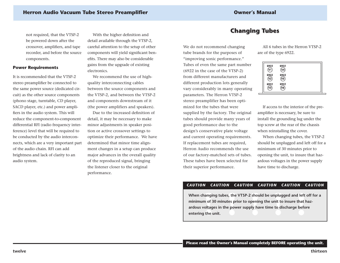not required, that the VTSP-2 be powered down after the crossover, amplifiers, and tape recorder, and before the source components.

#### **Power Requirements**

It is recommended that the VTSP-2stereo preamplifier be connected to the same power source (dedicated circuit) as the other source components (phono stage, turntable, CD player, SACD player, etc.) and power amplifiers in the audio system. This will reduce the component-to-component differential RFI (radio frequency interference) level that will be required to be conducted by the audio interconnects, which are a very important part of the audio chain. RFI can addbrightness and lack of clarity to an audio system.

With the higher definition and detail available through the VTSP-2, careful attention to the setup of other components will yield significant benefits. There may also be considerable gains from the upgrade of existing electronics.

We recommend the use of highquality interconnecting cables between the source components and the VTSP-2, and between the VTSP-2 and components downstream of it (the power amplifiers and speakers).

Due to the increased definition ofdetail, it may be necessary to make minor adjustments in speaker position or active crossover settings to optimize their performance. We have determined that minor time alignment changes in a setup can produce major advances in the overall quality of the reproduced signal, bringing the listener closer to the original performance.

## **Changing Tubes Changing Tubes**

We do not recommend changing tube brands for the purposes of "improving sonic performance." Tubes of even the same part number (6922 in the case of the VTSP-2) from different manufacturers anddifferent production lots generally vary considerably in many operating parameters. The Herron VTSP-2 stereo preamplifier has been optimized for the tubes that weresupplied by the factory. The original tubes should provide many years of good performance due to the design's conservative plate voltage and current operating requirements. If replacement tubes are required, Herron Audio recommends the useof our factory-matched sets of tubes. These tubes have been selected fortheir superior performance.

All 6 tubes in the Herron VTSP-2are of the type 6922.

| 6922<br>6922 | 6922<br>V4<br>6922 |  |
|--------------|--------------------|--|
| V2           | V5                 |  |
| 6922<br>13   | 6922<br>.<br>V6    |  |

If access to the interior of the preamplifier is necessary, be sure to install the grounding lug under the top screw at the rear of the chassis when reinstalling the cover.

When changing tubes, the VTSP-2 should be unplugged and left off for a minimum of 30 minutes prior to opening the unit, to insure that hazardous voltages in the power supply have time to discharge.

#### *CAUTION CAUTION CAUTION CAUTION CAUTION CAUTION*

When changing tubes, the VTSP-2 should be unplugged and left off for a minimum of 30 minutes prior to opening the unit to insure that hazardous voltages in the power supply have time to discharge before entering the unit.